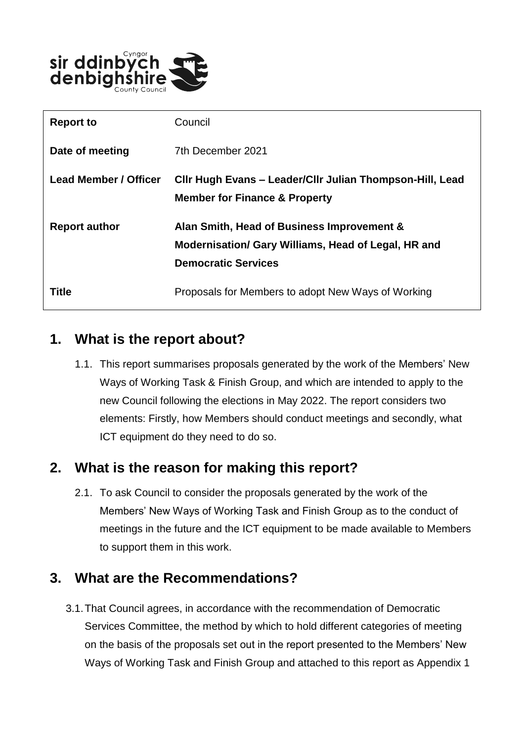

| <b>Report to</b>      | Council                                                                                                                         |
|-----------------------|---------------------------------------------------------------------------------------------------------------------------------|
| Date of meeting       | 7th December 2021                                                                                                               |
| Lead Member / Officer | CIIr Hugh Evans – Leader/CIIr Julian Thompson-Hill, Lead<br><b>Member for Finance &amp; Property</b>                            |
| <b>Report author</b>  | Alan Smith, Head of Business Improvement &<br>Modernisation/ Gary Williams, Head of Legal, HR and<br><b>Democratic Services</b> |
| Title                 | Proposals for Members to adopt New Ways of Working                                                                              |

# **1. What is the report about?**

1.1. This report summarises proposals generated by the work of the Members' New Ways of Working Task & Finish Group, and which are intended to apply to the new Council following the elections in May 2022. The report considers two elements: Firstly, how Members should conduct meetings and secondly, what ICT equipment do they need to do so.

# **2. What is the reason for making this report?**

2.1. To ask Council to consider the proposals generated by the work of the Members' New Ways of Working Task and Finish Group as to the conduct of meetings in the future and the ICT equipment to be made available to Members to support them in this work.

#### **3. What are the Recommendations?**

3.1.That Council agrees, in accordance with the recommendation of Democratic Services Committee, the method by which to hold different categories of meeting on the basis of the proposals set out in the report presented to the Members' New Ways of Working Task and Finish Group and attached to this report as Appendix 1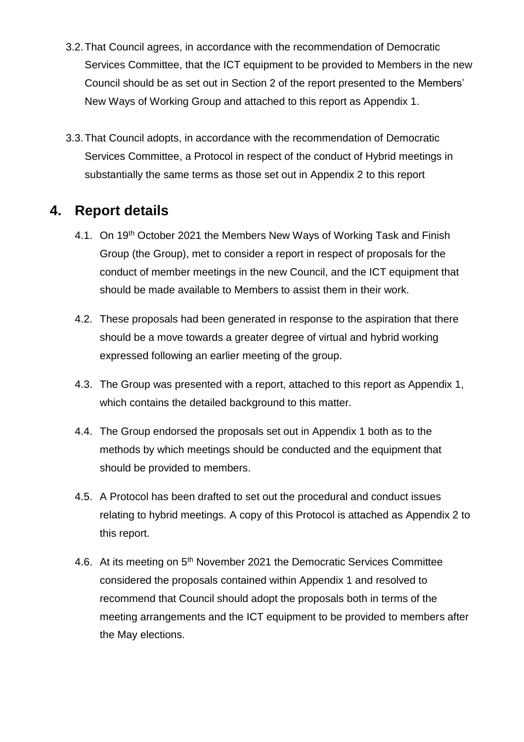- 3.2.That Council agrees, in accordance with the recommendation of Democratic Services Committee, that the ICT equipment to be provided to Members in the new Council should be as set out in Section 2 of the report presented to the Members' New Ways of Working Group and attached to this report as Appendix 1.
- 3.3.That Council adopts, in accordance with the recommendation of Democratic Services Committee, a Protocol in respect of the conduct of Hybrid meetings in substantially the same terms as those set out in Appendix 2 to this report

#### **4. Report details**

- 4.1. On 19<sup>th</sup> October 2021 the Members New Ways of Working Task and Finish Group (the Group), met to consider a report in respect of proposals for the conduct of member meetings in the new Council, and the ICT equipment that should be made available to Members to assist them in their work.
- 4.2. These proposals had been generated in response to the aspiration that there should be a move towards a greater degree of virtual and hybrid working expressed following an earlier meeting of the group.
- 4.3. The Group was presented with a report, attached to this report as Appendix 1, which contains the detailed background to this matter.
- 4.4. The Group endorsed the proposals set out in Appendix 1 both as to the methods by which meetings should be conducted and the equipment that should be provided to members.
- 4.5. A Protocol has been drafted to set out the procedural and conduct issues relating to hybrid meetings. A copy of this Protocol is attached as Appendix 2 to this report.
- 4.6. At its meeting on 5<sup>th</sup> November 2021 the Democratic Services Committee considered the proposals contained within Appendix 1 and resolved to recommend that Council should adopt the proposals both in terms of the meeting arrangements and the ICT equipment to be provided to members after the May elections.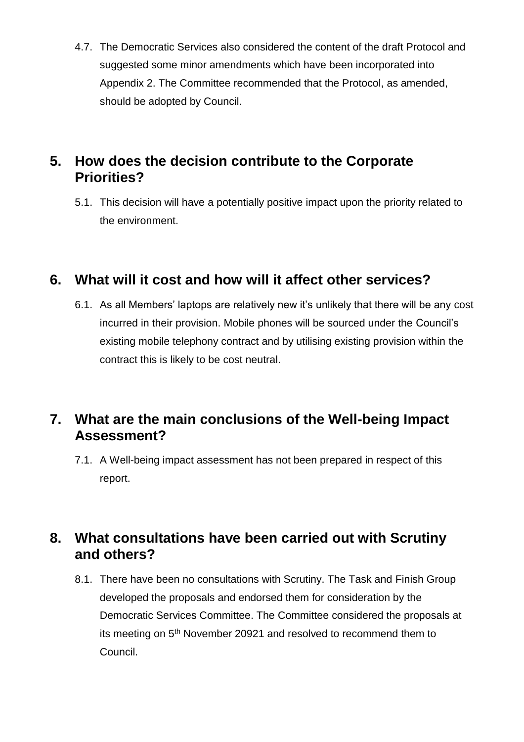4.7. The Democratic Services also considered the content of the draft Protocol and suggested some minor amendments which have been incorporated into Appendix 2. The Committee recommended that the Protocol, as amended, should be adopted by Council.

# **5. How does the decision contribute to the Corporate Priorities?**

5.1. This decision will have a potentially positive impact upon the priority related to the environment.

# **6. What will it cost and how will it affect other services?**

6.1. As all Members' laptops are relatively new it's unlikely that there will be any cost incurred in their provision. Mobile phones will be sourced under the Council's existing mobile telephony contract and by utilising existing provision within the contract this is likely to be cost neutral.

# **7. What are the main conclusions of the Well-being Impact Assessment?**

7.1. A Well-being impact assessment has not been prepared in respect of this report.

# **8. What consultations have been carried out with Scrutiny and others?**

8.1. There have been no consultations with Scrutiny. The Task and Finish Group developed the proposals and endorsed them for consideration by the Democratic Services Committee. The Committee considered the proposals at its meeting on 5<sup>th</sup> November 20921 and resolved to recommend them to Council.